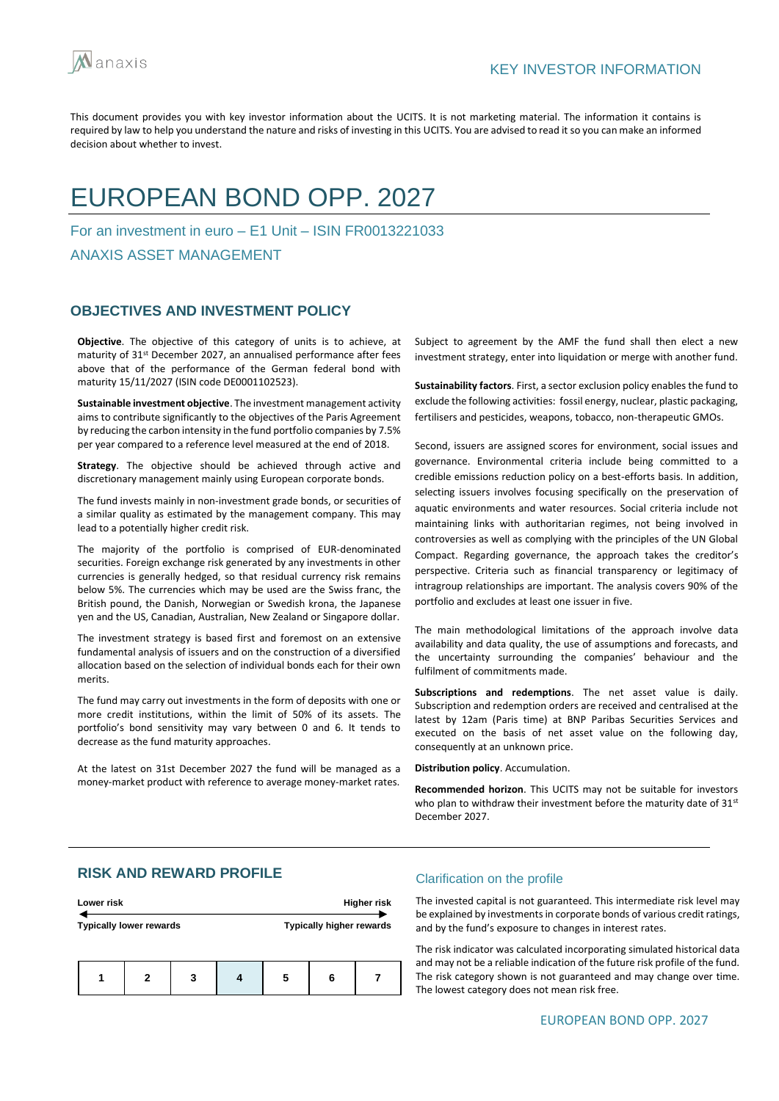

# EUROPEAN BOND OPP. 2027

For an investment in euro – E1 Unit – ISIN FR0013221033

ANAXIS ASSET MANAGEMENT

## **OBJECTIVES AND INVESTMENT POLICY**

**Objective**. The objective of this category of units is to achieve, at maturity of 31<sup>st</sup> December 2027, an annualised performance after fees above that of the performance of the German federal bond with maturity 15/11/2027 (ISIN code DE0001102523).

**Sustainable investment objective**. The investment management activity aims to contribute significantly to the objectives of the Paris Agreement by reducing the carbon intensity in the fund portfolio companies by 7.5% per year compared to a reference level measured at the end of 2018.

**Strategy**. The objective should be achieved through active and discretionary management mainly using European corporate bonds.

The fund invests mainly in non-investment grade bonds, or securities of a similar quality as estimated by the management company. This may lead to a potentially higher credit risk.

The majority of the portfolio is comprised of EUR-denominated securities. Foreign exchange risk generated by any investments in other currencies is generally hedged, so that residual currency risk remains below 5%. The currencies which may be used are the Swiss franc, the British pound, the Danish, Norwegian or Swedish krona, the Japanese yen and the US, Canadian, Australian, New Zealand or Singapore dollar.

The investment strategy is based first and foremost on an extensive fundamental analysis of issuers and on the construction of a diversified allocation based on the selection of individual bonds each for their own merits.

The fund may carry out investments in the form of deposits with one or more credit institutions, within the limit of 50% of its assets. The portfolio's bond sensitivity may vary between 0 and 6. It tends to decrease as the fund maturity approaches.

At the latest on 31st December 2027 the fund will be managed as a money-market product with reference to average money-market rates.

Subject to agreement by the AMF the fund shall then elect a new investment strategy, enter into liquidation or merge with another fund.

**Sustainability factors**. First, a sector exclusion policy enables the fund to exclude the following activities: fossil energy, nuclear, plastic packaging, fertilisers and pesticides, weapons, tobacco, non-therapeutic GMOs.

Second, issuers are assigned scores for environment, social issues and governance. Environmental criteria include being committed to a credible emissions reduction policy on a best-efforts basis. In addition, selecting issuers involves focusing specifically on the preservation of aquatic environments and water resources. Social criteria include not maintaining links with authoritarian regimes, not being involved in controversies as well as complying with the principles of the UN Global Compact. Regarding governance, the approach takes the creditor's perspective. Criteria such as financial transparency or legitimacy of intragroup relationships are important. The analysis covers 90% of the portfolio and excludes at least one issuer in five.

The main methodological limitations of the approach involve data availability and data quality, the use of assumptions and forecasts, and the uncertainty surrounding the companies' behaviour and the fulfilment of commitments made.

**Subscriptions and redemptions**. The net asset value is daily. Subscription and redemption orders are received and centralised at the latest by 12am (Paris time) at BNP Paribas Securities Services and executed on the basis of net asset value on the following day, consequently at an unknown price.

**Distribution policy**. Accumulation.

**Recommended horizon**. This UCITS may not be suitable for investors who plan to withdraw their investment before the maturity date of 31<sup>st</sup> December 2027.

## **RISK AND REWARD PROFILE**

| Lower risk                     | <b>Higher risk</b>              |
|--------------------------------|---------------------------------|
| <b>Typically lower rewards</b> | <b>Typically higher rewards</b> |
|                                |                                 |
|                                |                                 |

**1 2 3 4 5 6 7**

### Clarification on the profile

The invested capital is not guaranteed. This intermediate risk level may be explained by investments in corporate bonds of various credit ratings, and by the fund's exposure to changes in interest rates.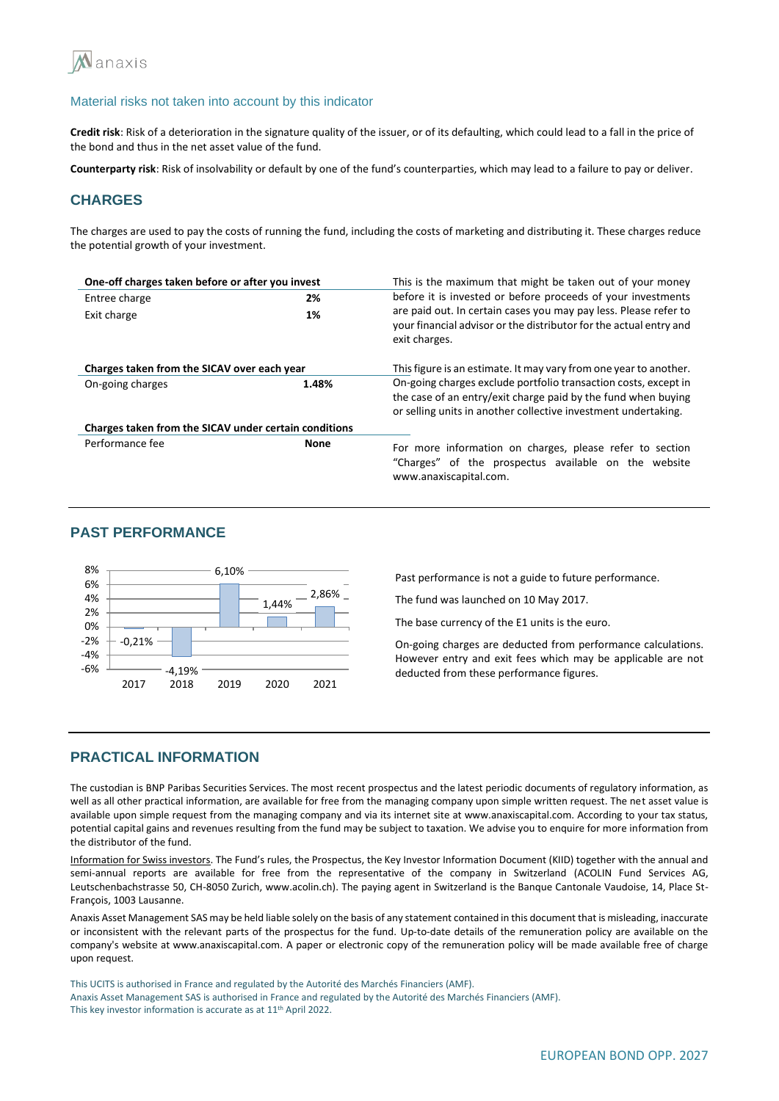

**Credit risk**: Risk of a deterioration in the signature quality of the issuer, or of its defaulting, which could lead to a fall in the price of the bond and thus in the net asset value of the fund.

**Counterparty risk**: Risk of insolvability or default by one of the fund's counterparties, which may lead to a failure to pay or deliver.

## **CHARGES**

The charges are used to pay the costs of running the fund, including the costs of marketing and distributing it. These charges reduce the potential growth of your investment.

| One-off charges taken before or after you invest      |             | This is the maximum that might be taken out of your money                                                                                                                                          |  |  |
|-------------------------------------------------------|-------------|----------------------------------------------------------------------------------------------------------------------------------------------------------------------------------------------------|--|--|
| Entree charge                                         | 2%          | before it is invested or before proceeds of your investments                                                                                                                                       |  |  |
| Exit charge                                           | 1%          | are paid out. In certain cases you may pay less. Please refer to<br>your financial advisor or the distributor for the actual entry and<br>exit charges.                                            |  |  |
| Charges taken from the SICAV over each year           |             | This figure is an estimate. It may vary from one year to another.                                                                                                                                  |  |  |
| On-going charges                                      | 1.48%       | On-going charges exclude portfolio transaction costs, except in<br>the case of an entry/exit charge paid by the fund when buying<br>or selling units in another collective investment undertaking. |  |  |
| Charges taken from the SICAV under certain conditions |             |                                                                                                                                                                                                    |  |  |
| Performance fee                                       | <b>None</b> | For more information on charges, please refer to section<br>"Charges" of the prospectus available on the website<br>www.anaxiscapital.com.                                                         |  |  |

## **PAST PERFORMANCE**



Past performance is not a guide to future performance.

The fund was launched on 10 May 2017.

The base currency of the E1 units is the euro.

On-going charges are deducted from performance calculations. However entry and exit fees which may be applicable are not deducted from these performance figures.

### **PRACTICAL INFORMATION**

The custodian is BNP Paribas Securities Services. The most recent prospectus and the latest periodic documents of regulatory information, as well as all other practical information, are available for free from the managing company upon simple written request. The net asset value is available upon simple request from the managing company and via its internet site at www.anaxiscapital.com. According to your tax status, potential capital gains and revenues resulting from the fund may be subject to taxation. We advise you to enquire for more information from the distributor of the fund.

Information for Swiss investors. The Fund's rules, the Prospectus, the Key Investor Information Document (KIID) together with the annual and semi-annual reports are available for free from the representative of the company in Switzerland (ACOLIN Fund Services AG, Leutschenbachstrasse 50, CH-8050 Zurich, www.acolin.ch). The paying agent in Switzerland is the Banque Cantonale Vaudoise, 14, Place St-François, 1003 Lausanne.

Anaxis Asset Management SAS may be held liable solely on the basis of any statement contained in this document that is misleading, inaccurate or inconsistent with the relevant parts of the prospectus for the fund. Up-to-date details of the remuneration policy are available on the company's website at www.anaxiscapital.com. A paper or electronic copy of the remuneration policy will be made available free of charge upon request.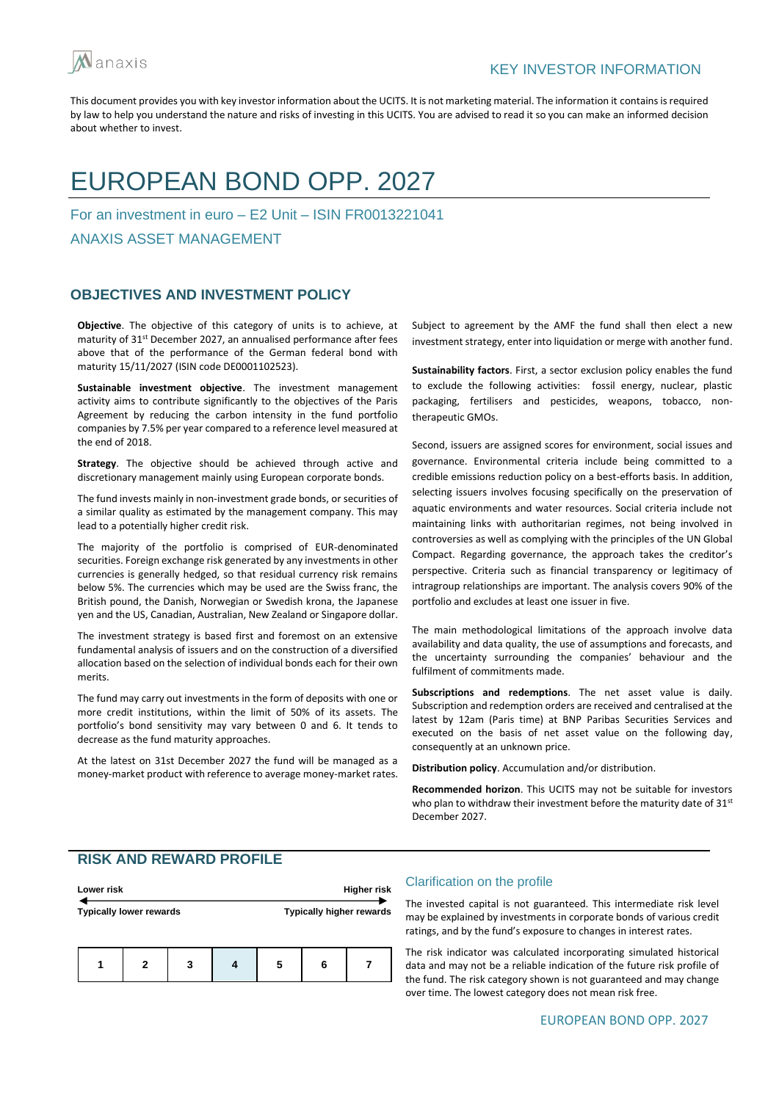

# EUROPEAN BOND OPP. 2027

For an investment in euro – E2 Unit – ISIN FR0013221041

ANAXIS ASSET MANAGEMENT

## **OBJECTIVES AND INVESTMENT POLICY**

**Objective**. The objective of this category of units is to achieve, at maturity of 31st December 2027, an annualised performance after fees above that of the performance of the German federal bond with maturity 15/11/2027 (ISIN code DE0001102523).

**Sustainable investment objective**. The investment management activity aims to contribute significantly to the objectives of the Paris Agreement by reducing the carbon intensity in the fund portfolio companies by 7.5% per year compared to a reference level measured at the end of 2018.

**Strategy**. The objective should be achieved through active and discretionary management mainly using European corporate bonds.

The fund invests mainly in non-investment grade bonds, or securities of a similar quality as estimated by the management company. This may lead to a potentially higher credit risk.

The majority of the portfolio is comprised of EUR-denominated securities. Foreign exchange risk generated by any investments in other currencies is generally hedged, so that residual currency risk remains below 5%. The currencies which may be used are the Swiss franc, the British pound, the Danish, Norwegian or Swedish krona, the Japanese yen and the US, Canadian, Australian, New Zealand or Singapore dollar.

The investment strategy is based first and foremost on an extensive fundamental analysis of issuers and on the construction of a diversified allocation based on the selection of individual bonds each for their own merits.

The fund may carry out investments in the form of deposits with one or more credit institutions, within the limit of 50% of its assets. The portfolio's bond sensitivity may vary between 0 and 6. It tends to decrease as the fund maturity approaches.

At the latest on 31st December 2027 the fund will be managed as a money-market product with reference to average money-market rates.

Subject to agreement by the AMF the fund shall then elect a new investment strategy, enter into liquidation or merge with another fund.

**Sustainability factors**. First, a sector exclusion policy enables the fund to exclude the following activities: fossil energy, nuclear, plastic packaging, fertilisers and pesticides, weapons, tobacco, nontherapeutic GMOs.

Second, issuers are assigned scores for environment, social issues and governance. Environmental criteria include being committed to a credible emissions reduction policy on a best-efforts basis. In addition, selecting issuers involves focusing specifically on the preservation of aquatic environments and water resources. Social criteria include not maintaining links with authoritarian regimes, not being involved in controversies as well as complying with the principles of the UN Global Compact. Regarding governance, the approach takes the creditor's perspective. Criteria such as financial transparency or legitimacy of intragroup relationships are important. The analysis covers 90% of the portfolio and excludes at least one issuer in five.

The main methodological limitations of the approach involve data availability and data quality, the use of assumptions and forecasts, and the uncertainty surrounding the companies' behaviour and the fulfilment of commitments made.

**Subscriptions and redemptions**. The net asset value is daily. Subscription and redemption orders are received and centralised at the latest by 12am (Paris time) at BNP Paribas Securities Services and executed on the basis of net asset value on the following day, consequently at an unknown price.

**Distribution policy**. Accumulation and/or distribution.

**Recommended horizon**. This UCITS may not be suitable for investors who plan to withdraw their investment before the maturity date of 31<sup>st</sup> December 2027.

# **RISK AND REWARD PROFILE**

| Lower risk |                                |  |  |                                 | <b>Higher risk</b> |
|------------|--------------------------------|--|--|---------------------------------|--------------------|
|            | <b>Typically lower rewards</b> |  |  | <b>Typically higher rewards</b> |                    |
| 2          |                                |  |  |                                 |                    |

#### Clarification on the profile

The invested capital is not guaranteed. This intermediate risk level may be explained by investments in corporate bonds of various credit ratings, and by the fund's exposure to changes in interest rates.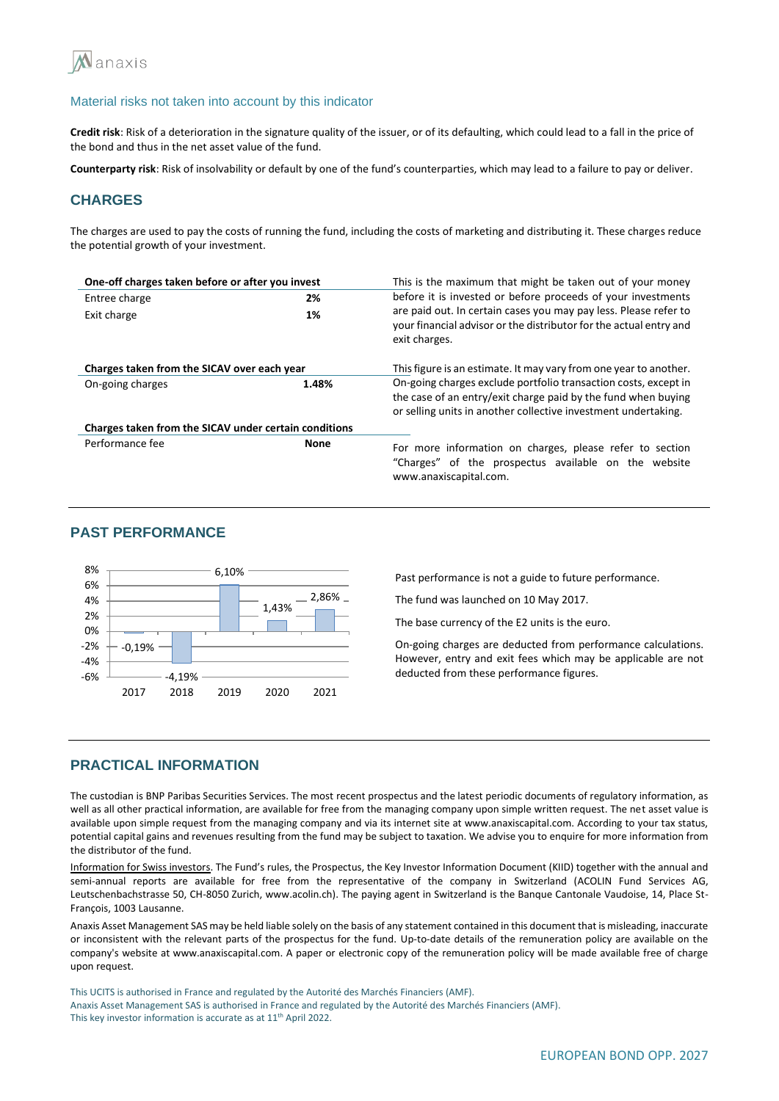

**Credit risk**: Risk of a deterioration in the signature quality of the issuer, or of its defaulting, which could lead to a fall in the price of the bond and thus in the net asset value of the fund.

**Counterparty risk**: Risk of insolvability or default by one of the fund's counterparties, which may lead to a failure to pay or deliver.

## **CHARGES**

The charges are used to pay the costs of running the fund, including the costs of marketing and distributing it. These charges reduce the potential growth of your investment.

| One-off charges taken before or after you invest      |             | This is the maximum that might be taken out of your money                                                                                                                                          |  |  |
|-------------------------------------------------------|-------------|----------------------------------------------------------------------------------------------------------------------------------------------------------------------------------------------------|--|--|
| Entree charge                                         | 2%          | before it is invested or before proceeds of your investments                                                                                                                                       |  |  |
| Exit charge                                           | 1%          | are paid out. In certain cases you may pay less. Please refer to<br>your financial advisor or the distributor for the actual entry and<br>exit charges.                                            |  |  |
| Charges taken from the SICAV over each year           |             | This figure is an estimate. It may vary from one year to another.                                                                                                                                  |  |  |
| On-going charges                                      | 1.48%       | On-going charges exclude portfolio transaction costs, except in<br>the case of an entry/exit charge paid by the fund when buying<br>or selling units in another collective investment undertaking. |  |  |
| Charges taken from the SICAV under certain conditions |             |                                                                                                                                                                                                    |  |  |
| Performance fee                                       | <b>None</b> | For more information on charges, please refer to section<br>"Charges" of the prospectus available on the website<br>www.anaxiscapital.com.                                                         |  |  |

## **PAST PERFORMANCE**



Past performance is not a guide to future performance.

The fund was launched on 10 May 2017.

The base currency of the E2 units is the euro.

On-going charges are deducted from performance calculations. However, entry and exit fees which may be applicable are not deducted from these performance figures.

## **PRACTICAL INFORMATION**

The custodian is BNP Paribas Securities Services. The most recent prospectus and the latest periodic documents of regulatory information, as well as all other practical information, are available for free from the managing company upon simple written request. The net asset value is available upon simple request from the managing company and via its internet site at www.anaxiscapital.com. According to your tax status, potential capital gains and revenues resulting from the fund may be subject to taxation. We advise you to enquire for more information from the distributor of the fund.

Information for Swiss investors. The Fund's rules, the Prospectus, the Key Investor Information Document (KIID) together with the annual and semi-annual reports are available for free from the representative of the company in Switzerland (ACOLIN Fund Services AG, Leutschenbachstrasse 50, CH-8050 Zurich, www.acolin.ch). The paying agent in Switzerland is the Banque Cantonale Vaudoise, 14, Place St-François, 1003 Lausanne.

Anaxis Asset Management SAS may be held liable solely on the basis of any statement contained in this document that is misleading, inaccurate or inconsistent with the relevant parts of the prospectus for the fund. Up-to-date details of the remuneration policy are available on the company's website at www.anaxiscapital.com. A paper or electronic copy of the remuneration policy will be made available free of charge upon request.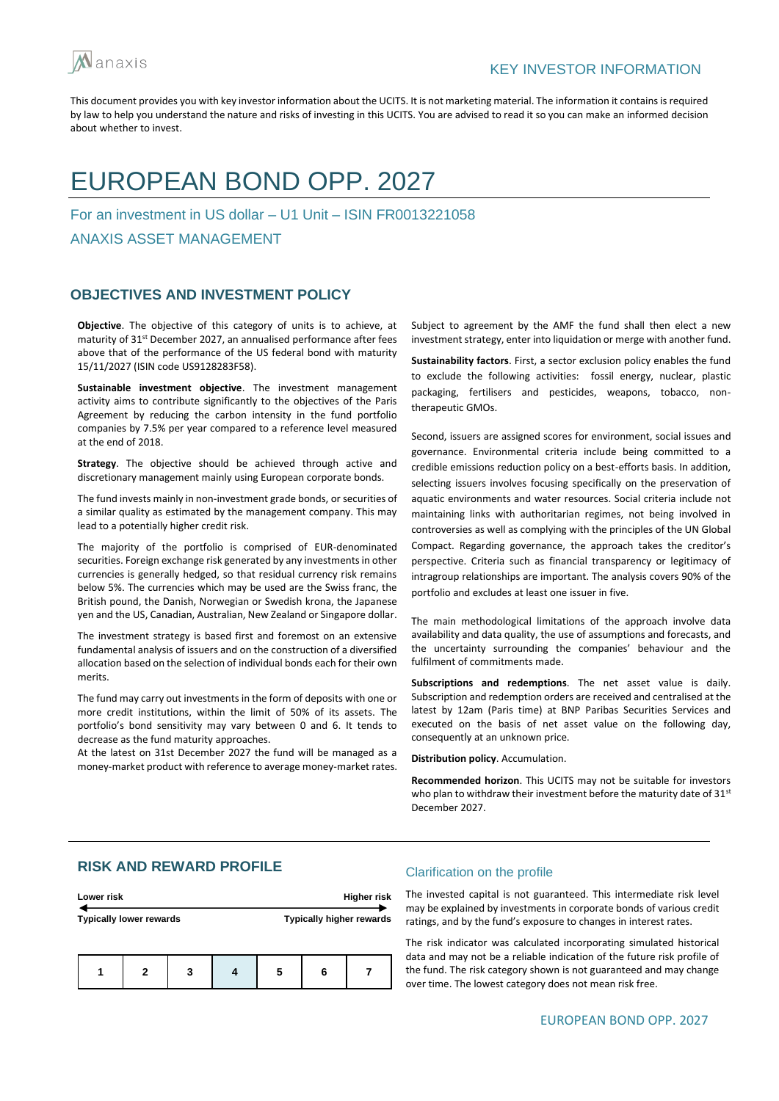

# EUROPEAN BOND OPP. 2027

For an investment in US dollar – U1 Unit – ISIN FR0013221058

ANAXIS ASSET MANAGEMENT

## **OBJECTIVES AND INVESTMENT POLICY**

**Objective**. The objective of this category of units is to achieve, at maturity of 31<sup>st</sup> December 2027, an annualised performance after fees above that of the performance of the US federal bond with maturity 15/11/2027 (ISIN code US9128283F58).

**Sustainable investment objective**. The investment management activity aims to contribute significantly to the objectives of the Paris Agreement by reducing the carbon intensity in the fund portfolio companies by 7.5% per year compared to a reference level measured at the end of 2018.

**Strategy**. The objective should be achieved through active and discretionary management mainly using European corporate bonds.

The fund invests mainly in non-investment grade bonds, or securities of a similar quality as estimated by the management company. This may lead to a potentially higher credit risk.

The majority of the portfolio is comprised of EUR-denominated securities. Foreign exchange risk generated by any investments in other currencies is generally hedged, so that residual currency risk remains below 5%. The currencies which may be used are the Swiss franc, the British pound, the Danish, Norwegian or Swedish krona, the Japanese yen and the US, Canadian, Australian, New Zealand or Singapore dollar.

The investment strategy is based first and foremost on an extensive fundamental analysis of issuers and on the construction of a diversified allocation based on the selection of individual bonds each for their own merits.

The fund may carry out investments in the form of deposits with one or more credit institutions, within the limit of 50% of its assets. The portfolio's bond sensitivity may vary between 0 and 6. It tends to decrease as the fund maturity approaches.

At the latest on 31st December 2027 the fund will be managed as a money-market product with reference to average money-market rates. Subject to agreement by the AMF the fund shall then elect a new investment strategy, enter into liquidation or merge with another fund.

**Sustainability factors**. First, a sector exclusion policy enables the fund to exclude the following activities: fossil energy, nuclear, plastic packaging, fertilisers and pesticides, weapons, tobacco, nontherapeutic GMOs.

Second, issuers are assigned scores for environment, social issues and governance. Environmental criteria include being committed to a credible emissions reduction policy on a best-efforts basis. In addition, selecting issuers involves focusing specifically on the preservation of aquatic environments and water resources. Social criteria include not maintaining links with authoritarian regimes, not being involved in controversies as well as complying with the principles of the UN Global Compact. Regarding governance, the approach takes the creditor's perspective. Criteria such as financial transparency or legitimacy of intragroup relationships are important. The analysis covers 90% of the portfolio and excludes at least one issuer in five.

The main methodological limitations of the approach involve data availability and data quality, the use of assumptions and forecasts, and the uncertainty surrounding the companies' behaviour and the fulfilment of commitments made.

**Subscriptions and redemptions**. The net asset value is daily. Subscription and redemption orders are received and centralised at the latest by 12am (Paris time) at BNP Paribas Securities Services and executed on the basis of net asset value on the following day, consequently at an unknown price.

**Distribution policy**. Accumulation.

**Recommended horizon**. This UCITS may not be suitable for investors who plan to withdraw their investment before the maturity date of  $31^{st}$ December 2027.

# **RISK AND REWARD PROFILE**

| Lower risk                     |  |  |   |   | Higher risk |                          |
|--------------------------------|--|--|---|---|-------------|--------------------------|
| <b>Typically lower rewards</b> |  |  |   |   |             | Typically higher rewards |
| 3<br>2                         |  |  | 5 | 6 |             |                          |

#### Clarification on the profile

The invested capital is not guaranteed. This intermediate risk level may be explained by investments in corporate bonds of various credit ratings, and by the fund's exposure to changes in interest rates.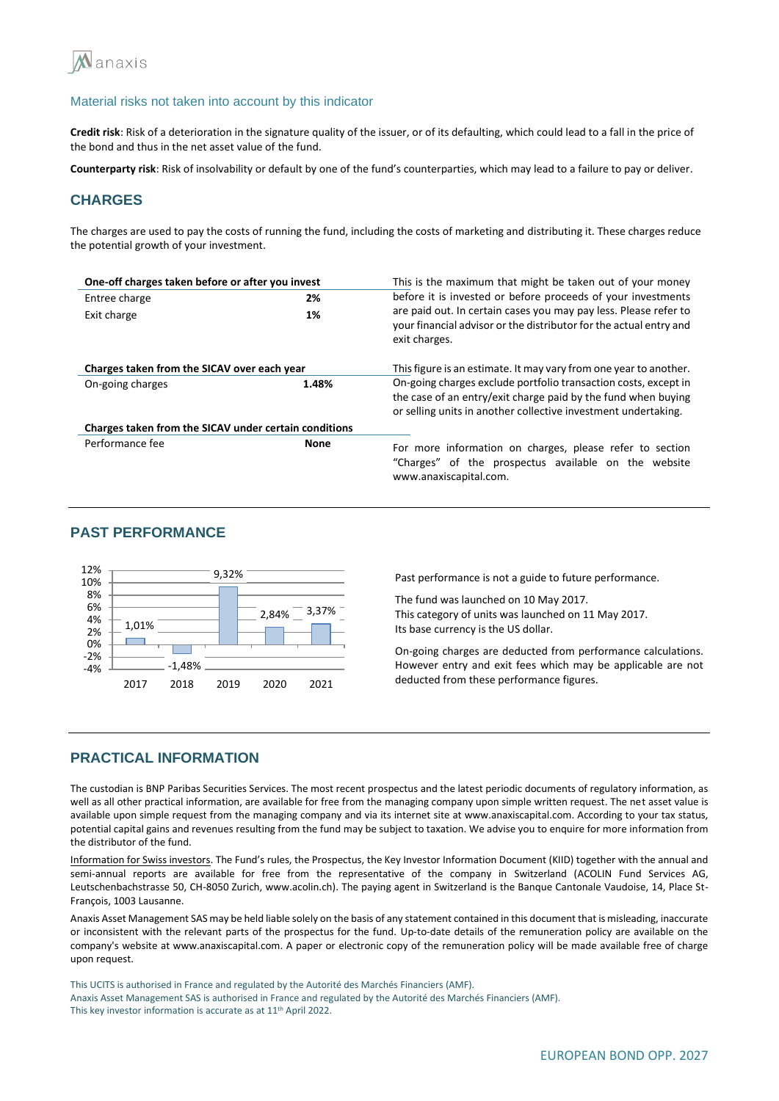

**Credit risk**: Risk of a deterioration in the signature quality of the issuer, or of its defaulting, which could lead to a fall in the price of the bond and thus in the net asset value of the fund.

**Counterparty risk**: Risk of insolvability or default by one of the fund's counterparties, which may lead to a failure to pay or deliver.

## **CHARGES**

The charges are used to pay the costs of running the fund, including the costs of marketing and distributing it. These charges reduce the potential growth of your investment.

| One-off charges taken before or after you invest      |             | This is the maximum that might be taken out of your money                                                                                                                                          |  |  |  |
|-------------------------------------------------------|-------------|----------------------------------------------------------------------------------------------------------------------------------------------------------------------------------------------------|--|--|--|
| Entree charge                                         | 2%          | before it is invested or before proceeds of your investments                                                                                                                                       |  |  |  |
| Exit charge                                           | 1%          | are paid out. In certain cases you may pay less. Please refer to<br>your financial advisor or the distributor for the actual entry and<br>exit charges.                                            |  |  |  |
| Charges taken from the SICAV over each year           |             | This figure is an estimate. It may vary from one year to another.                                                                                                                                  |  |  |  |
| On-going charges                                      | 1.48%       | On-going charges exclude portfolio transaction costs, except in<br>the case of an entry/exit charge paid by the fund when buying<br>or selling units in another collective investment undertaking. |  |  |  |
| Charges taken from the SICAV under certain conditions |             |                                                                                                                                                                                                    |  |  |  |
| Performance fee                                       | <b>None</b> | For more information on charges, please refer to section<br>"Charges" of the prospectus available on the website<br>www.anaxiscapital.com.                                                         |  |  |  |

## **PAST PERFORMANCE**



Past performance is not a guide to future performance.

The fund was launched on 10 May 2017. This category of units was launched on 11 May 2017. Its base currency is the US dollar.

On-going charges are deducted from performance calculations. However entry and exit fees which may be applicable are not deducted from these performance figures.

## **PRACTICAL INFORMATION**

The custodian is BNP Paribas Securities Services. The most recent prospectus and the latest periodic documents of regulatory information, as well as all other practical information, are available for free from the managing company upon simple written request. The net asset value is available upon simple request from the managing company and via its internet site at www.anaxiscapital.com. According to your tax status, potential capital gains and revenues resulting from the fund may be subject to taxation. We advise you to enquire for more information from the distributor of the fund.

Information for Swiss investors. The Fund's rules, the Prospectus, the Key Investor Information Document (KIID) together with the annual and semi-annual reports are available for free from the representative of the company in Switzerland (ACOLIN Fund Services AG, Leutschenbachstrasse 50, CH-8050 Zurich, www.acolin.ch). The paying agent in Switzerland is the Banque Cantonale Vaudoise, 14, Place St-François, 1003 Lausanne.

Anaxis Asset Management SAS may be held liable solely on the basis of any statement contained in this document that is misleading, inaccurate or inconsistent with the relevant parts of the prospectus for the fund. Up-to-date details of the remuneration policy are available on the company's website at www.anaxiscapital.com. A paper or electronic copy of the remuneration policy will be made available free of charge upon request.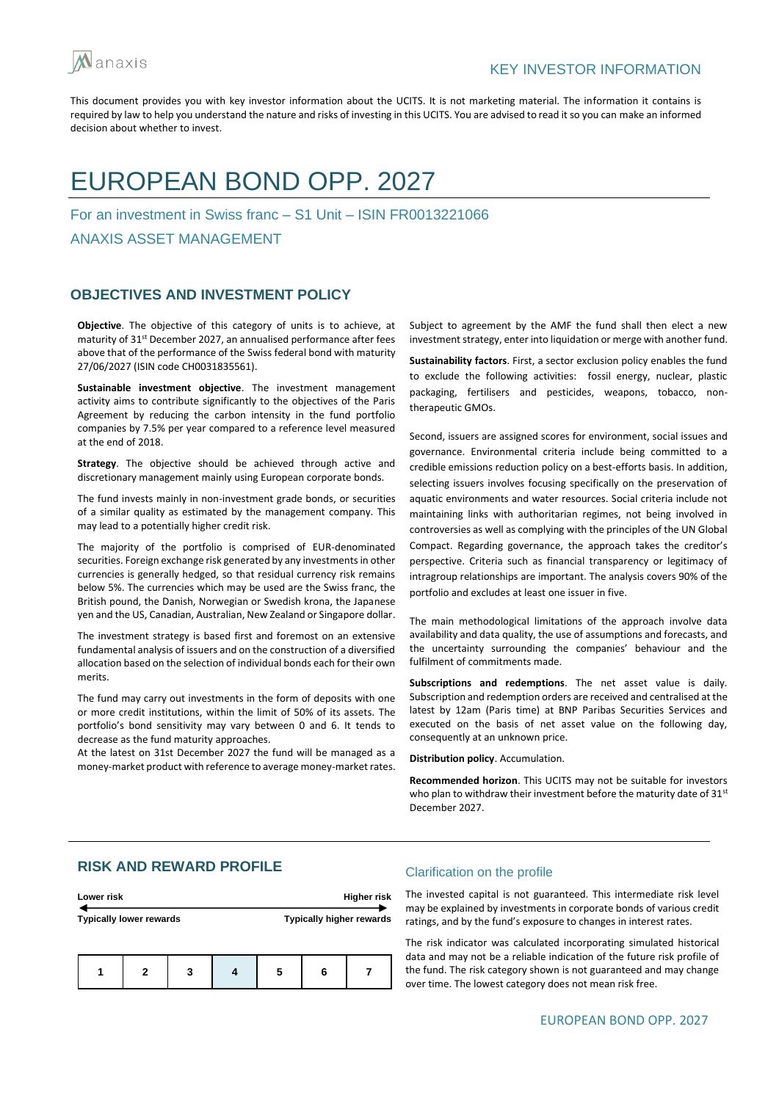

# EUROPEAN BOND OPP. 2027

For an investment in Swiss franc – S1 Unit – ISIN FR0013221066

ANAXIS ASSET MANAGEMENT

## **OBJECTIVES AND INVESTMENT POLICY**

**Objective**. The objective of this category of units is to achieve, at maturity of 31st December 2027, an annualised performance after fees above that of the performance of the Swiss federal bond with maturity 27/06/2027 (ISIN code CH0031835561).

**Sustainable investment objective**. The investment management activity aims to contribute significantly to the objectives of the Paris Agreement by reducing the carbon intensity in the fund portfolio companies by 7.5% per year compared to a reference level measured at the end of 2018.

**Strategy**. The objective should be achieved through active and discretionary management mainly using European corporate bonds.

The fund invests mainly in non-investment grade bonds, or securities of a similar quality as estimated by the management company. This may lead to a potentially higher credit risk.

The majority of the portfolio is comprised of EUR-denominated securities. Foreign exchange risk generated by any investments in other currencies is generally hedged, so that residual currency risk remains below 5%. The currencies which may be used are the Swiss franc, the British pound, the Danish, Norwegian or Swedish krona, the Japanese yen and the US, Canadian, Australian, New Zealand or Singapore dollar.

The investment strategy is based first and foremost on an extensive fundamental analysis of issuers and on the construction of a diversified allocation based on the selection of individual bonds each for their own merits.

The fund may carry out investments in the form of deposits with one or more credit institutions, within the limit of 50% of its assets. The portfolio's bond sensitivity may vary between 0 and 6. It tends to decrease as the fund maturity approaches.

At the latest on 31st December 2027 the fund will be managed as a money-market product with reference to average money-market rates.

Subject to agreement by the AMF the fund shall then elect a new investment strategy, enter into liquidation or merge with another fund.

**Sustainability factors**. First, a sector exclusion policy enables the fund to exclude the following activities: fossil energy, nuclear, plastic packaging, fertilisers and pesticides, weapons, tobacco, nontherapeutic GMOs.

Second, issuers are assigned scores for environment, social issues and governance. Environmental criteria include being committed to a credible emissions reduction policy on a best-efforts basis. In addition, selecting issuers involves focusing specifically on the preservation of aquatic environments and water resources. Social criteria include not maintaining links with authoritarian regimes, not being involved in controversies as well as complying with the principles of the UN Global Compact. Regarding governance, the approach takes the creditor's perspective. Criteria such as financial transparency or legitimacy of intragroup relationships are important. The analysis covers 90% of the portfolio and excludes at least one issuer in five.

The main methodological limitations of the approach involve data availability and data quality, the use of assumptions and forecasts, and the uncertainty surrounding the companies' behaviour and the fulfilment of commitments made.

**Subscriptions and redemptions**. The net asset value is daily. Subscription and redemption orders are received and centralised at the latest by 12am (Paris time) at BNP Paribas Securities Services and executed on the basis of net asset value on the following day, consequently at an unknown price.

**Distribution policy**. Accumulation.

**Recommended horizon**. This UCITS may not be suitable for investors who plan to withdraw their investment before the maturity date of 31<sup>st</sup> December 2027.

# **RISK AND REWARD PROFILE**

| Lower risk                     |  |  |   |   | Higher risk |                          |
|--------------------------------|--|--|---|---|-------------|--------------------------|
| <b>Typically lower rewards</b> |  |  |   |   |             | Typically higher rewards |
| 3<br>2                         |  |  | 5 | 6 |             |                          |

#### Clarification on the profile

The invested capital is not guaranteed. This intermediate risk level may be explained by investments in corporate bonds of various credit ratings, and by the fund's exposure to changes in interest rates.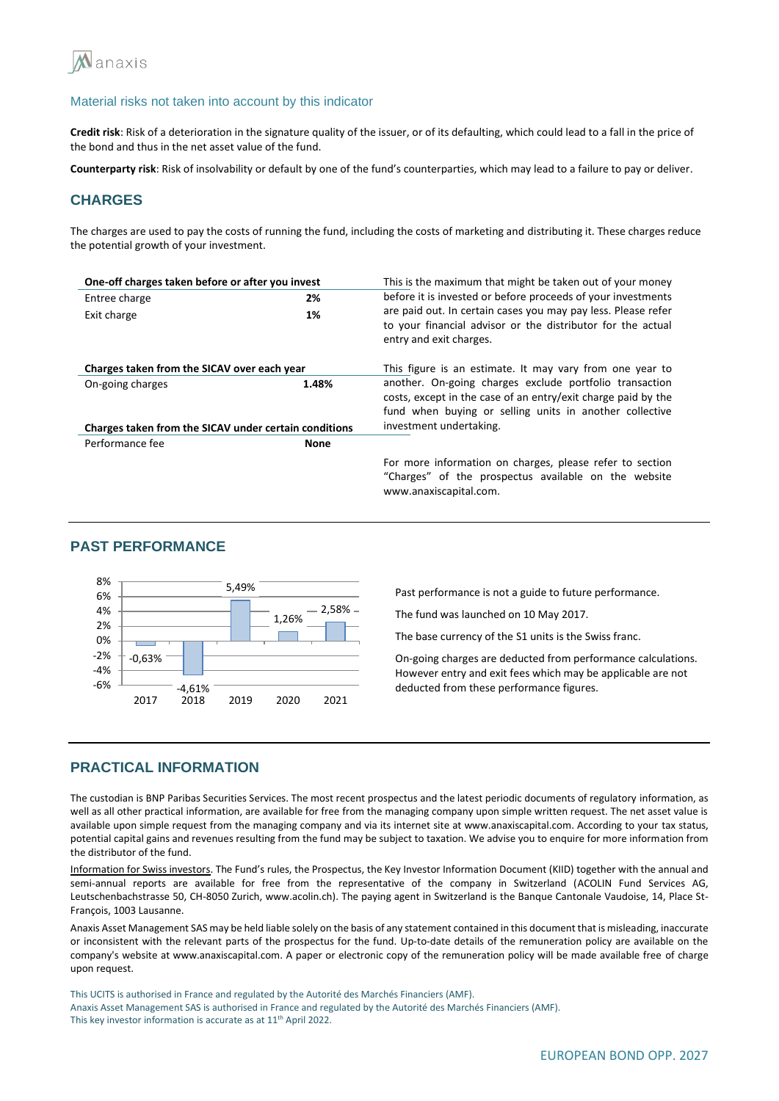

**Credit risk**: Risk of a deterioration in the signature quality of the issuer, or of its defaulting, which could lead to a fall in the price of the bond and thus in the net asset value of the fund.

**Counterparty risk**: Risk of insolvability or default by one of the fund's counterparties, which may lead to a failure to pay or deliver.

# **CHARGES**

The charges are used to pay the costs of running the fund, including the costs of marketing and distributing it. These charges reduce the potential growth of your investment.

| One-off charges taken before or after you invest      |             | This is the maximum that might be taken out of your money                                                                                                                           |
|-------------------------------------------------------|-------------|-------------------------------------------------------------------------------------------------------------------------------------------------------------------------------------|
| Entree charge                                         | 2%          | before it is invested or before proceeds of your investments                                                                                                                        |
| Exit charge                                           | 1%          | are paid out. In certain cases you may pay less. Please refer<br>to your financial advisor or the distributor for the actual<br>entry and exit charges.                             |
| Charges taken from the SICAV over each year           |             | This figure is an estimate. It may vary from one year to                                                                                                                            |
| On-going charges                                      | 1.48%       | another. On-going charges exclude portfolio transaction<br>costs, except in the case of an entry/exit charge paid by the<br>fund when buying or selling units in another collective |
| Charges taken from the SICAV under certain conditions |             | investment undertaking.                                                                                                                                                             |
| Performance fee                                       | <b>None</b> |                                                                                                                                                                                     |
|                                                       |             | For more information on charges, please refer to section<br>"Charges" of the prospectus available on the website<br>www.anaxiscapital.com.                                          |

#### **PAST PERFORMANCE**



Past performance is not a guide to future performance.

The fund was launched on 10 May 2017.

The base currency of the S1 units is the Swiss franc.

On-going charges are deducted from performance calculations. However entry and exit fees which may be applicable are not deducted from these performance figures.

## **PRACTICAL INFORMATION**

The custodian is BNP Paribas Securities Services. The most recent prospectus and the latest periodic documents of regulatory information, as well as all other practical information, are available for free from the managing company upon simple written request. The net asset value is available upon simple request from the managing company and via its internet site at www.anaxiscapital.com. According to your tax status, potential capital gains and revenues resulting from the fund may be subject to taxation. We advise you to enquire for more information from the distributor of the fund.

Information for Swiss investors. The Fund's rules, the Prospectus, the Key Investor Information Document (KIID) together with the annual and semi-annual reports are available for free from the representative of the company in Switzerland (ACOLIN Fund Services AG, Leutschenbachstrasse 50, CH-8050 Zurich, www.acolin.ch). The paying agent in Switzerland is the Banque Cantonale Vaudoise, 14, Place St-François, 1003 Lausanne.

Anaxis Asset Management SAS may be held liable solely on the basis of any statement contained in this document that is misleading, inaccurate or inconsistent with the relevant parts of the prospectus for the fund. Up-to-date details of the remuneration policy are available on the company's website at www.anaxiscapital.com. A paper or electronic copy of the remuneration policy will be made available free of charge upon request.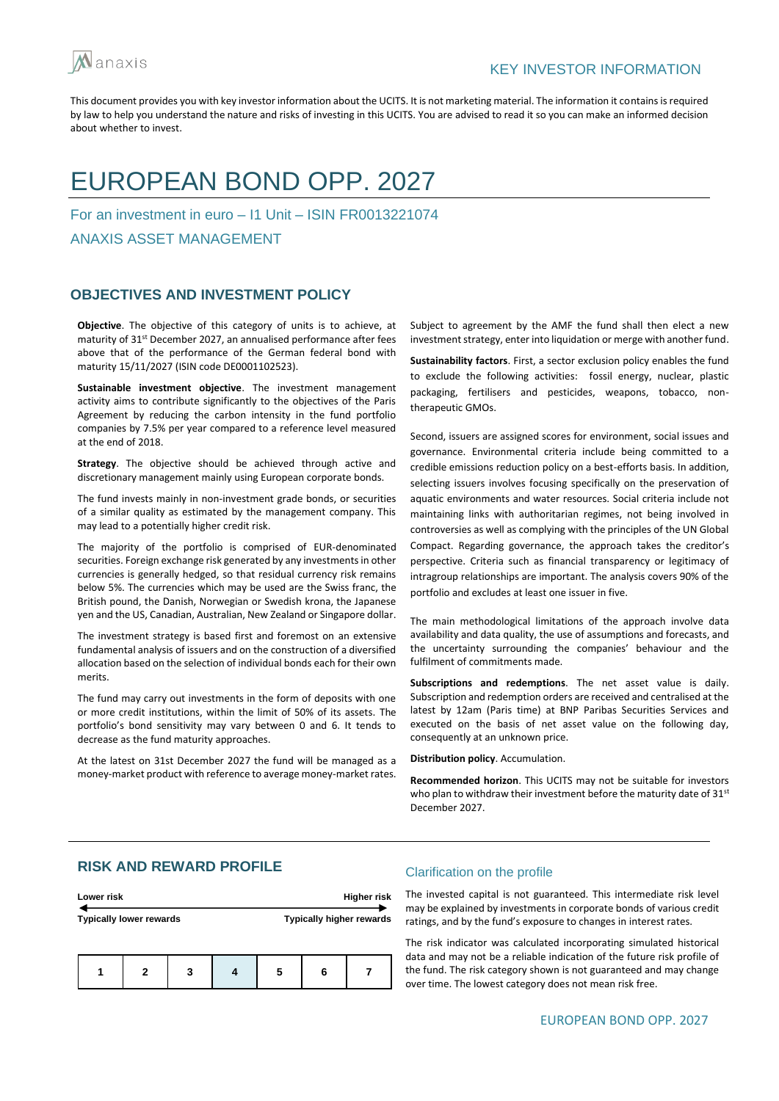

# EUROPEAN BOND OPP. 2027

For an investment in euro – I1 Unit – ISIN FR0013221074

ANAXIS ASSET MANAGEMENT

## **OBJECTIVES AND INVESTMENT POLICY**

**Objective**. The objective of this category of units is to achieve, at maturity of 31<sup>st</sup> December 2027, an annualised performance after fees above that of the performance of the German federal bond with maturity 15/11/2027 (ISIN code DE0001102523).

**Sustainable investment objective**. The investment management activity aims to contribute significantly to the objectives of the Paris Agreement by reducing the carbon intensity in the fund portfolio companies by 7.5% per year compared to a reference level measured at the end of 2018.

**Strategy**. The objective should be achieved through active and discretionary management mainly using European corporate bonds.

The fund invests mainly in non-investment grade bonds, or securities of a similar quality as estimated by the management company. This may lead to a potentially higher credit risk.

The majority of the portfolio is comprised of EUR-denominated securities. Foreign exchange risk generated by any investments in other currencies is generally hedged, so that residual currency risk remains below 5%. The currencies which may be used are the Swiss franc, the British pound, the Danish, Norwegian or Swedish krona, the Japanese yen and the US, Canadian, Australian, New Zealand or Singapore dollar.

The investment strategy is based first and foremost on an extensive fundamental analysis of issuers and on the construction of a diversified allocation based on the selection of individual bonds each for their own merits.

The fund may carry out investments in the form of deposits with one or more credit institutions, within the limit of 50% of its assets. The portfolio's bond sensitivity may vary between 0 and 6. It tends to decrease as the fund maturity approaches.

At the latest on 31st December 2027 the fund will be managed as a money-market product with reference to average money-market rates. Subject to agreement by the AMF the fund shall then elect a new investment strategy, enter into liquidation or merge with another fund.

**Sustainability factors**. First, a sector exclusion policy enables the fund to exclude the following activities: fossil energy, nuclear, plastic packaging, fertilisers and pesticides, weapons, tobacco, nontherapeutic GMOs.

Second, issuers are assigned scores for environment, social issues and governance. Environmental criteria include being committed to a credible emissions reduction policy on a best-efforts basis. In addition, selecting issuers involves focusing specifically on the preservation of aquatic environments and water resources. Social criteria include not maintaining links with authoritarian regimes, not being involved in controversies as well as complying with the principles of the UN Global Compact. Regarding governance, the approach takes the creditor's perspective. Criteria such as financial transparency or legitimacy of intragroup relationships are important. The analysis covers 90% of the portfolio and excludes at least one issuer in five.

The main methodological limitations of the approach involve data availability and data quality, the use of assumptions and forecasts, and the uncertainty surrounding the companies' behaviour and the fulfilment of commitments made.

**Subscriptions and redemptions**. The net asset value is daily. Subscription and redemption orders are received and centralised at the latest by 12am (Paris time) at BNP Paribas Securities Services and executed on the basis of net asset value on the following day, consequently at an unknown price.

**Distribution policy**. Accumulation.

**Recommended horizon**. This UCITS may not be suitable for investors who plan to withdraw their investment before the maturity date of 31<sup>st</sup> December 2027.

## **RISK AND REWARD PROFILE**

| Lower risk                     |   |   |  |   | Higher risk |                                 |
|--------------------------------|---|---|--|---|-------------|---------------------------------|
| <b>Typically lower rewards</b> |   |   |  |   |             | <b>Typically higher rewards</b> |
|                                | 2 | 3 |  | 5 | 6           |                                 |

#### Clarification on the profile

The invested capital is not guaranteed. This intermediate risk level may be explained by investments in corporate bonds of various credit ratings, and by the fund's exposure to changes in interest rates.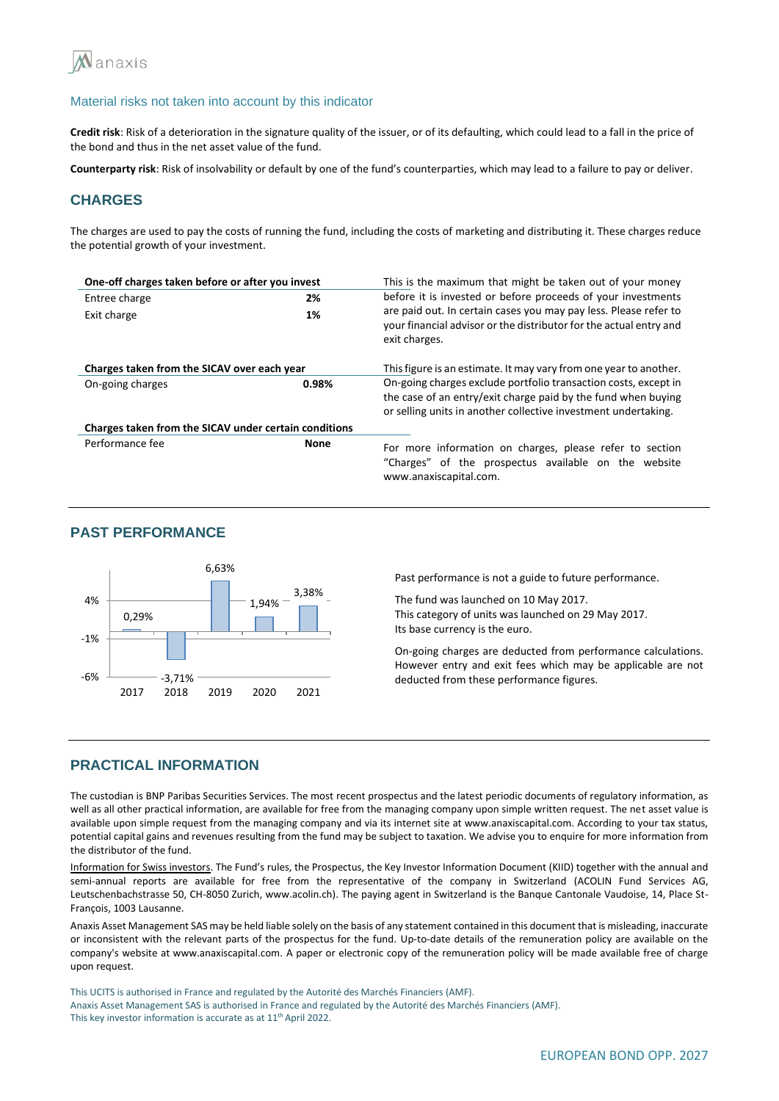

**Credit risk**: Risk of a deterioration in the signature quality of the issuer, or of its defaulting, which could lead to a fall in the price of the bond and thus in the net asset value of the fund.

**Counterparty risk**: Risk of insolvability or default by one of the fund's counterparties, which may lead to a failure to pay or deliver.

## **CHARGES**

The charges are used to pay the costs of running the fund, including the costs of marketing and distributing it. These charges reduce the potential growth of your investment.

| One-off charges taken before or after you invest      |             | This is the maximum that might be taken out of your money                                                                                                                                          |  |  |
|-------------------------------------------------------|-------------|----------------------------------------------------------------------------------------------------------------------------------------------------------------------------------------------------|--|--|
| Entree charge                                         | 2%          | before it is invested or before proceeds of your investments                                                                                                                                       |  |  |
| Exit charge                                           | 1%          | are paid out. In certain cases you may pay less. Please refer to<br>your financial advisor or the distributor for the actual entry and<br>exit charges.                                            |  |  |
| Charges taken from the SICAV over each year           |             | This figure is an estimate. It may vary from one year to another.                                                                                                                                  |  |  |
| On-going charges                                      | 0.98%       | On-going charges exclude portfolio transaction costs, except in<br>the case of an entry/exit charge paid by the fund when buying<br>or selling units in another collective investment undertaking. |  |  |
| Charges taken from the SICAV under certain conditions |             |                                                                                                                                                                                                    |  |  |
| Performance fee                                       | <b>None</b> | For more information on charges, please refer to section<br>"Charges" of the prospectus available on the website<br>www.anaxiscapital.com.                                                         |  |  |

## **PAST PERFORMANCE**



Past performance is not a guide to future performance.

The fund was launched on 10 May 2017. This category of units was launched on 29 May 2017. Its base currency is the euro.

On-going charges are deducted from performance calculations. However entry and exit fees which may be applicable are not deducted from these performance figures.

## **PRACTICAL INFORMATION**

The custodian is BNP Paribas Securities Services. The most recent prospectus and the latest periodic documents of regulatory information, as well as all other practical information, are available for free from the managing company upon simple written request. The net asset value is available upon simple request from the managing company and via its internet site at www.anaxiscapital.com. According to your tax status, potential capital gains and revenues resulting from the fund may be subject to taxation. We advise you to enquire for more information from the distributor of the fund.

Information for Swiss investors. The Fund's rules, the Prospectus, the Key Investor Information Document (KIID) together with the annual and semi-annual reports are available for free from the representative of the company in Switzerland (ACOLIN Fund Services AG, Leutschenbachstrasse 50, CH-8050 Zurich, www.acolin.ch). The paying agent in Switzerland is the Banque Cantonale Vaudoise, 14, Place St-François, 1003 Lausanne.

Anaxis Asset Management SAS may be held liable solely on the basis of any statement contained in this document that is misleading, inaccurate or inconsistent with the relevant parts of the prospectus for the fund. Up-to-date details of the remuneration policy are available on the company's website at www.anaxiscapital.com. A paper or electronic copy of the remuneration policy will be made available free of charge upon request.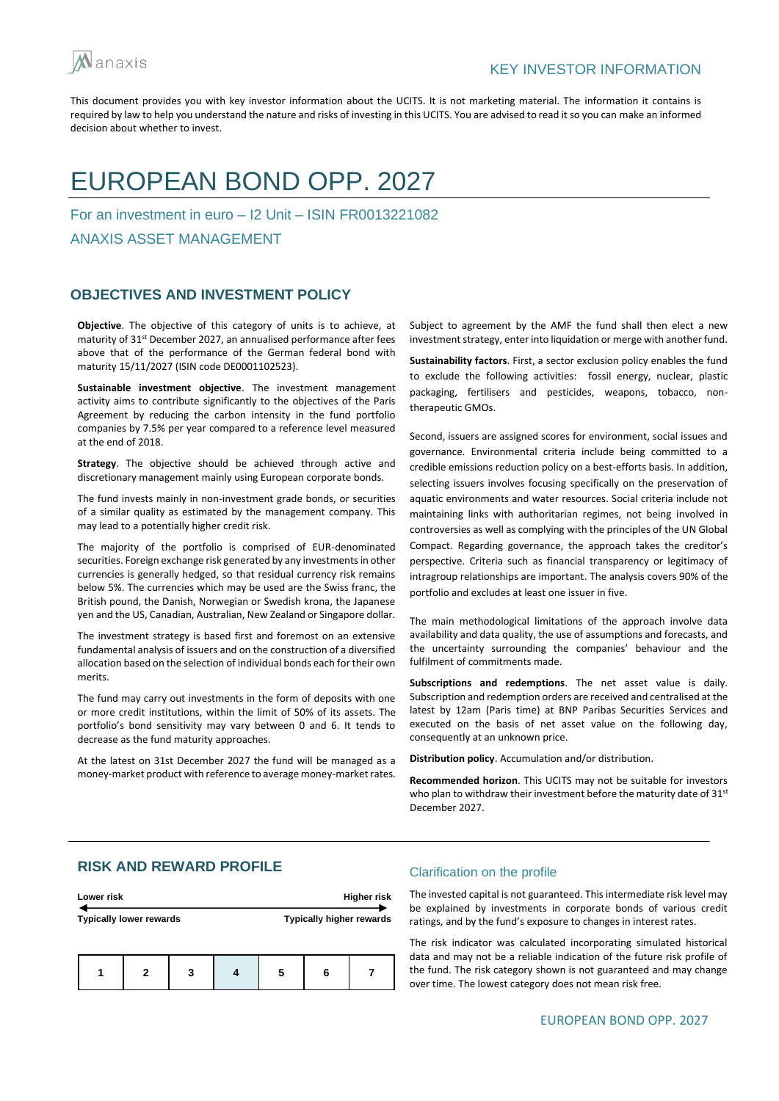

# EUROPEAN BOND OPP. 2027

For an investment in euro – I2 Unit – ISIN FR0013221082

ANAXIS ASSET MANAGEMENT

## **OBJECTIVES AND INVESTMENT POLICY**

**Objective**. The objective of this category of units is to achieve, at maturity of 31<sup>st</sup> December 2027, an annualised performance after fees above that of the performance of the German federal bond with maturity 15/11/2027 (ISIN code DE0001102523).

**Sustainable investment objective**. The investment management activity aims to contribute significantly to the objectives of the Paris Agreement by reducing the carbon intensity in the fund portfolio companies by 7.5% per year compared to a reference level measured at the end of 2018.

**Strategy**. The objective should be achieved through active and discretionary management mainly using European corporate bonds.

The fund invests mainly in non-investment grade bonds, or securities of a similar quality as estimated by the management company. This may lead to a potentially higher credit risk.

The majority of the portfolio is comprised of EUR-denominated securities. Foreign exchange risk generated by any investments in other currencies is generally hedged, so that residual currency risk remains below 5%. The currencies which may be used are the Swiss franc, the British pound, the Danish, Norwegian or Swedish krona, the Japanese yen and the US, Canadian, Australian, New Zealand or Singapore dollar.

The investment strategy is based first and foremost on an extensive fundamental analysis of issuers and on the construction of a diversified allocation based on the selection of individual bonds each for their own merits.

The fund may carry out investments in the form of deposits with one or more credit institutions, within the limit of 50% of its assets. The portfolio's bond sensitivity may vary between 0 and 6. It tends to decrease as the fund maturity approaches.

At the latest on 31st December 2027 the fund will be managed as a money-market product with reference to average money-market rates.

Subject to agreement by the AMF the fund shall then elect a new investment strategy, enter into liquidation or merge with another fund.

**Sustainability factors**. First, a sector exclusion policy enables the fund to exclude the following activities: fossil energy, nuclear, plastic packaging, fertilisers and pesticides, weapons, tobacco, nontherapeutic GMOs.

Second, issuers are assigned scores for environment, social issues and governance. Environmental criteria include being committed to a credible emissions reduction policy on a best-efforts basis. In addition, selecting issuers involves focusing specifically on the preservation of aquatic environments and water resources. Social criteria include not maintaining links with authoritarian regimes, not being involved in controversies as well as complying with the principles of the UN Global Compact. Regarding governance, the approach takes the creditor's perspective. Criteria such as financial transparency or legitimacy of intragroup relationships are important. The analysis covers 90% of the portfolio and excludes at least one issuer in five.

The main methodological limitations of the approach involve data availability and data quality, the use of assumptions and forecasts, and the uncertainty surrounding the companies' behaviour and the fulfilment of commitments made.

**Subscriptions and redemptions**. The net asset value is daily. Subscription and redemption orders are received and centralised at the latest by 12am (Paris time) at BNP Paribas Securities Services and executed on the basis of net asset value on the following day, consequently at an unknown price.

**Distribution policy**. Accumulation and/or distribution.

**Recommended horizon**. This UCITS may not be suitable for investors who plan to withdraw their investment before the maturity date of 31<sup>st</sup> December 2027.

# **RISK AND REWARD PROFILE**

| Lower risk                     |   |   |  |   |                          | <b>Higher risk</b> |
|--------------------------------|---|---|--|---|--------------------------|--------------------|
| <b>Typically lower rewards</b> |   |   |  |   | Typically higher rewards |                    |
|                                | 2 | 3 |  | 5 | 6                        |                    |

#### Clarification on the profile

The invested capital is not guaranteed. This intermediate risk level may be explained by investments in corporate bonds of various credit ratings, and by the fund's exposure to changes in interest rates.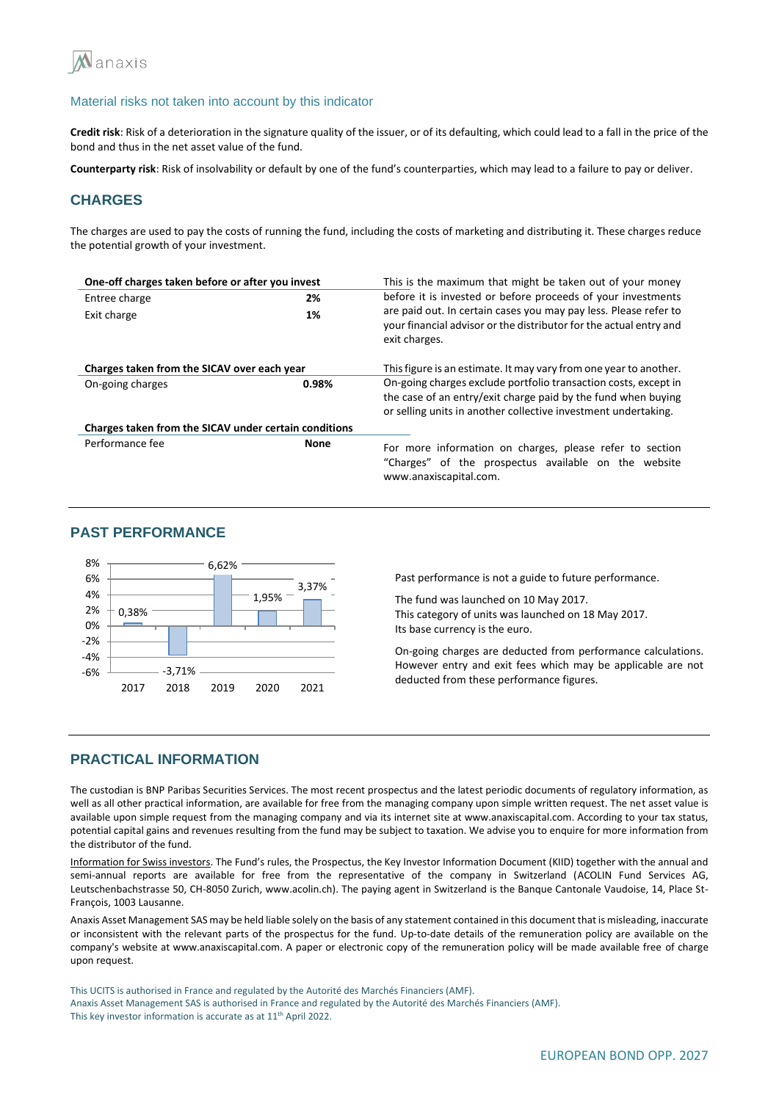

**Credit risk**: Risk of a deterioration in the signature quality of the issuer, or of its defaulting, which could lead to a fall in the price of the bond and thus in the net asset value of the fund.

**Counterparty risk**: Risk of insolvability or default by one of the fund's counterparties, which may lead to a failure to pay or deliver.

# **CHARGES**

The charges are used to pay the costs of running the fund, including the costs of marketing and distributing it. These charges reduce the potential growth of your investment.

| One-off charges taken before or after you invest      |             | This is the maximum that might be taken out of your money                                                                                                                                          |  |  |
|-------------------------------------------------------|-------------|----------------------------------------------------------------------------------------------------------------------------------------------------------------------------------------------------|--|--|
| Entree charge                                         | 2%          | before it is invested or before proceeds of your investments                                                                                                                                       |  |  |
| Exit charge                                           | 1%          | are paid out. In certain cases you may pay less. Please refer to<br>your financial advisor or the distributor for the actual entry and<br>exit charges.                                            |  |  |
| Charges taken from the SICAV over each year           |             | This figure is an estimate. It may vary from one year to another.                                                                                                                                  |  |  |
| On-going charges                                      | 0.98%       | On-going charges exclude portfolio transaction costs, except in<br>the case of an entry/exit charge paid by the fund when buying<br>or selling units in another collective investment undertaking. |  |  |
| Charges taken from the SICAV under certain conditions |             |                                                                                                                                                                                                    |  |  |
| Performance fee                                       | <b>None</b> | For more information on charges, please refer to section<br>"Charges" of the prospectus available on the website<br>www.anaxiscapital.com.                                                         |  |  |

## **PAST PERFORMANCE**



Past performance is not a guide to future performance.

The fund was launched on 10 May 2017. This category of units was launched on 18 May 2017. Its base currency is the euro.

On-going charges are deducted from performance calculations. However entry and exit fees which may be applicable are not deducted from these performance figures.

## **PRACTICAL INFORMATION**

The custodian is BNP Paribas Securities Services. The most recent prospectus and the latest periodic documents of regulatory information, as well as all other practical information, are available for free from the managing company upon simple written request. The net asset value is available upon simple request from the managing company and via its internet site at www.anaxiscapital.com. According to your tax status, potential capital gains and revenues resulting from the fund may be subject to taxation. We advise you to enquire for more information from the distributor of the fund.

Information for Swiss investors. The Fund's rules, the Prospectus, the Key Investor Information Document (KIID) together with the annual and semi-annual reports are available for free from the representative of the company in Switzerland (ACOLIN Fund Services AG, Leutschenbachstrasse 50, CH-8050 Zurich, www.acolin.ch). The paying agent in Switzerland is the Banque Cantonale Vaudoise, 14, Place St-François, 1003 Lausanne.

Anaxis Asset Management SAS may be held liable solely on the basis of any statement contained in this document that is misleading, inaccurate or inconsistent with the relevant parts of the prospectus for the fund. Up-to-date details of the remuneration policy are available on the company's website at www.anaxiscapital.com. A paper or electronic copy of the remuneration policy will be made available free of charge upon request.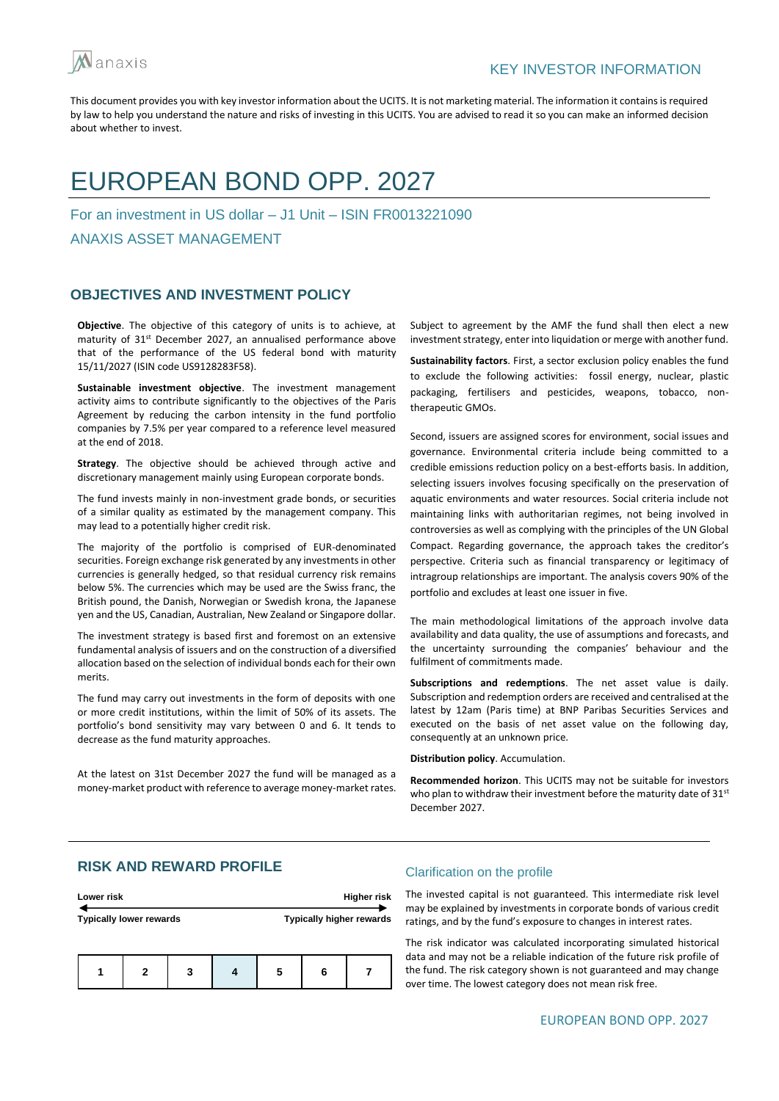

# EUROPEAN BOND OPP. 2027

For an investment in US dollar – J1 Unit – ISIN FR0013221090

ANAXIS ASSET MANAGEMENT

## **OBJECTIVES AND INVESTMENT POLICY**

**Objective**. The objective of this category of units is to achieve, at maturity of 31<sup>st</sup> December 2027, an annualised performance above that of the performance of the US federal bond with maturity 15/11/2027 (ISIN code US9128283F58).

**Sustainable investment objective**. The investment management activity aims to contribute significantly to the objectives of the Paris Agreement by reducing the carbon intensity in the fund portfolio companies by 7.5% per year compared to a reference level measured at the end of 2018.

**Strategy**. The objective should be achieved through active and discretionary management mainly using European corporate bonds.

The fund invests mainly in non-investment grade bonds, or securities of a similar quality as estimated by the management company. This may lead to a potentially higher credit risk.

The majority of the portfolio is comprised of EUR-denominated securities. Foreign exchange risk generated by any investments in other currencies is generally hedged, so that residual currency risk remains below 5%. The currencies which may be used are the Swiss franc, the British pound, the Danish, Norwegian or Swedish krona, the Japanese yen and the US, Canadian, Australian, New Zealand or Singapore dollar.

The investment strategy is based first and foremost on an extensive fundamental analysis of issuers and on the construction of a diversified allocation based on the selection of individual bonds each for their own merits.

The fund may carry out investments in the form of deposits with one or more credit institutions, within the limit of 50% of its assets. The portfolio's bond sensitivity may vary between 0 and 6. It tends to decrease as the fund maturity approaches.

At the latest on 31st December 2027 the fund will be managed as a money-market product with reference to average money-market rates.

Subject to agreement by the AMF the fund shall then elect a new investment strategy, enter into liquidation or merge with another fund.

**Sustainability factors**. First, a sector exclusion policy enables the fund to exclude the following activities: fossil energy, nuclear, plastic packaging, fertilisers and pesticides, weapons, tobacco, nontherapeutic GMOs.

Second, issuers are assigned scores for environment, social issues and governance. Environmental criteria include being committed to a credible emissions reduction policy on a best-efforts basis. In addition, selecting issuers involves focusing specifically on the preservation of aquatic environments and water resources. Social criteria include not maintaining links with authoritarian regimes, not being involved in controversies as well as complying with the principles of the UN Global Compact. Regarding governance, the approach takes the creditor's perspective. Criteria such as financial transparency or legitimacy of intragroup relationships are important. The analysis covers 90% of the portfolio and excludes at least one issuer in five.

The main methodological limitations of the approach involve data availability and data quality, the use of assumptions and forecasts, and the uncertainty surrounding the companies' behaviour and the fulfilment of commitments made.

**Subscriptions and redemptions**. The net asset value is daily. Subscription and redemption orders are received and centralised at the latest by 12am (Paris time) at BNP Paribas Securities Services and executed on the basis of net asset value on the following day, consequently at an unknown price.

**Distribution policy**. Accumulation.

**Recommended horizon**. This UCITS may not be suitable for investors who plan to withdraw their investment before the maturity date of 31<sup>st</sup> December 2027.

# **RISK AND REWARD PROFILE**

| Lower risk                     |   |   |  | Higher risk |   |                                 |
|--------------------------------|---|---|--|-------------|---|---------------------------------|
| <b>Typically lower rewards</b> |   |   |  |             |   | <b>Typically higher rewards</b> |
|                                | 2 | 3 |  |             | 6 |                                 |

#### Clarification on the profile

The invested capital is not guaranteed. This intermediate risk level may be explained by investments in corporate bonds of various credit ratings, and by the fund's exposure to changes in interest rates.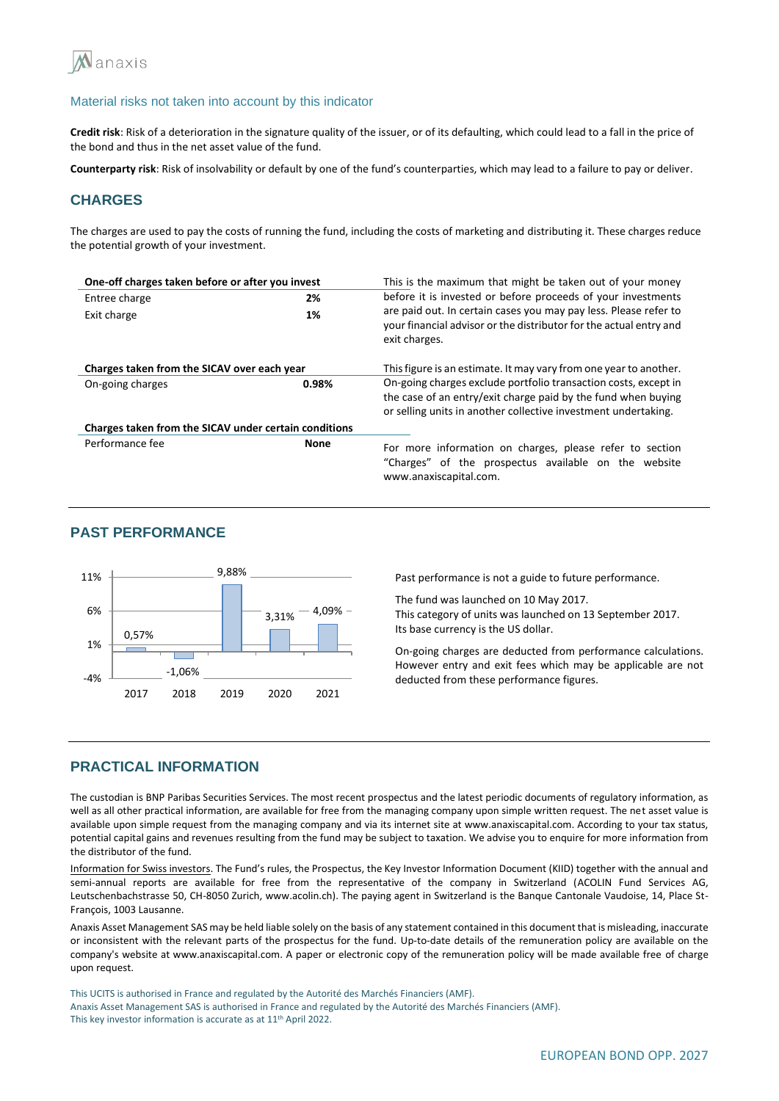

**Credit risk**: Risk of a deterioration in the signature quality of the issuer, or of its defaulting, which could lead to a fall in the price of the bond and thus in the net asset value of the fund.

**Counterparty risk**: Risk of insolvability or default by one of the fund's counterparties, which may lead to a failure to pay or deliver.

## **CHARGES**

The charges are used to pay the costs of running the fund, including the costs of marketing and distributing it. These charges reduce the potential growth of your investment.

| One-off charges taken before or after you invest      |             | This is the maximum that might be taken out of your money                                                                                                                                          |  |  |
|-------------------------------------------------------|-------------|----------------------------------------------------------------------------------------------------------------------------------------------------------------------------------------------------|--|--|
| Entree charge                                         | 2%          | before it is invested or before proceeds of your investments                                                                                                                                       |  |  |
| Exit charge                                           | 1%          | are paid out. In certain cases you may pay less. Please refer to<br>your financial advisor or the distributor for the actual entry and<br>exit charges.                                            |  |  |
| Charges taken from the SICAV over each year           |             | This figure is an estimate. It may vary from one year to another.                                                                                                                                  |  |  |
| On-going charges                                      | 0.98%       | On-going charges exclude portfolio transaction costs, except in<br>the case of an entry/exit charge paid by the fund when buying<br>or selling units in another collective investment undertaking. |  |  |
| Charges taken from the SICAV under certain conditions |             |                                                                                                                                                                                                    |  |  |
| Performance fee                                       | <b>None</b> | For more information on charges, please refer to section<br>"Charges" of the prospectus available on the website<br>www.anaxiscapital.com.                                                         |  |  |

# **PAST PERFORMANCE**



Past performance is not a guide to future performance.

The fund was launched on 10 May 2017. This category of units was launched on 13 September 2017. Its base currency is the US dollar.

On-going charges are deducted from performance calculations. However entry and exit fees which may be applicable are not deducted from these performance figures.

### **PRACTICAL INFORMATION**

The custodian is BNP Paribas Securities Services. The most recent prospectus and the latest periodic documents of regulatory information, as well as all other practical information, are available for free from the managing company upon simple written request. The net asset value is available upon simple request from the managing company and via its internet site at www.anaxiscapital.com. According to your tax status, potential capital gains and revenues resulting from the fund may be subject to taxation. We advise you to enquire for more information from the distributor of the fund.

Information for Swiss investors. The Fund's rules, the Prospectus, the Key Investor Information Document (KIID) together with the annual and semi-annual reports are available for free from the representative of the company in Switzerland (ACOLIN Fund Services AG, Leutschenbachstrasse 50, CH-8050 Zurich, www.acolin.ch). The paying agent in Switzerland is the Banque Cantonale Vaudoise, 14, Place St-François, 1003 Lausanne.

Anaxis Asset Management SAS may be held liable solely on the basis of any statement contained in this document that is misleading, inaccurate or inconsistent with the relevant parts of the prospectus for the fund. Up-to-date details of the remuneration policy are available on the company's website at www.anaxiscapital.com. A paper or electronic copy of the remuneration policy will be made available free of charge upon request.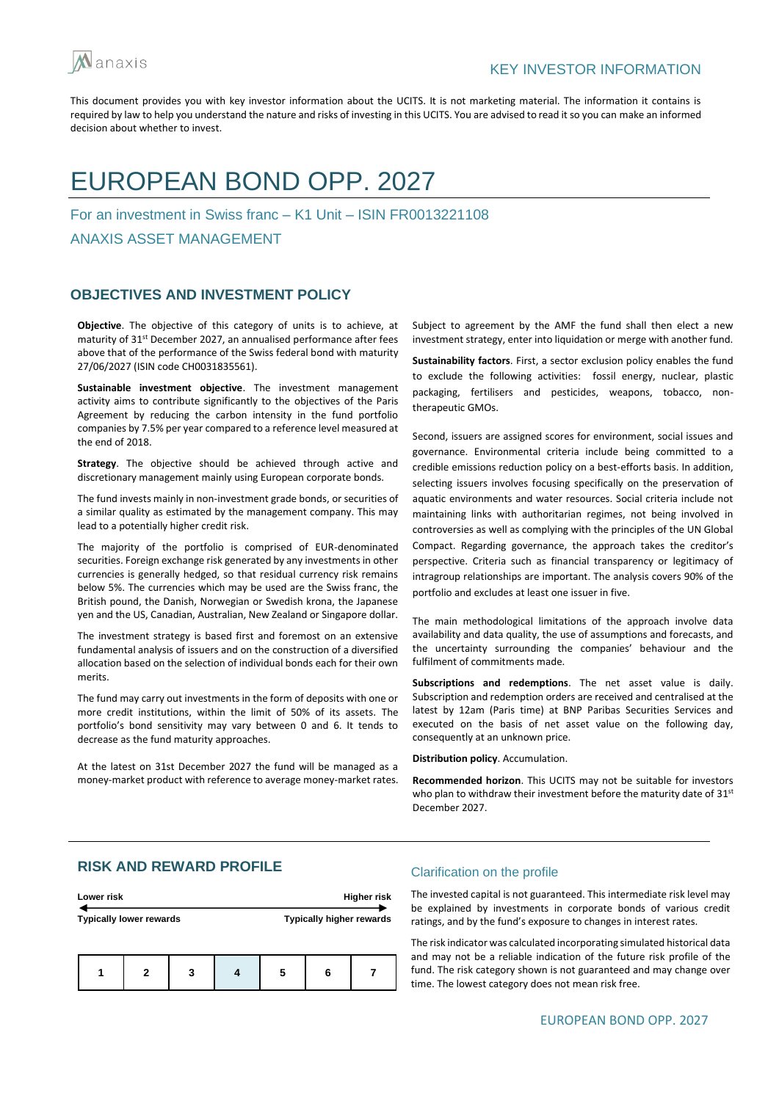

# EUROPEAN BOND OPP. 2027

For an investment in Swiss franc – K1 Unit – ISIN FR0013221108

ANAXIS ASSET MANAGEMENT

## **OBJECTIVES AND INVESTMENT POLICY**

**Objective**. The objective of this category of units is to achieve, at maturity of 31<sup>st</sup> December 2027, an annualised performance after fees above that of the performance of the Swiss federal bond with maturity 27/06/2027 (ISIN code CH0031835561).

**Sustainable investment objective**. The investment management activity aims to contribute significantly to the objectives of the Paris Agreement by reducing the carbon intensity in the fund portfolio companies by 7.5% per year compared to a reference level measured at the end of 2018.

**Strategy**. The objective should be achieved through active and discretionary management mainly using European corporate bonds.

The fund invests mainly in non-investment grade bonds, or securities of a similar quality as estimated by the management company. This may lead to a potentially higher credit risk.

The majority of the portfolio is comprised of EUR-denominated securities. Foreign exchange risk generated by any investments in other currencies is generally hedged, so that residual currency risk remains below 5%. The currencies which may be used are the Swiss franc, the British pound, the Danish, Norwegian or Swedish krona, the Japanese yen and the US, Canadian, Australian, New Zealand or Singapore dollar.

The investment strategy is based first and foremost on an extensive fundamental analysis of issuers and on the construction of a diversified allocation based on the selection of individual bonds each for their own merits.

The fund may carry out investments in the form of deposits with one or more credit institutions, within the limit of 50% of its assets. The portfolio's bond sensitivity may vary between 0 and 6. It tends to decrease as the fund maturity approaches.

At the latest on 31st December 2027 the fund will be managed as a money-market product with reference to average money-market rates. Subject to agreement by the AMF the fund shall then elect a new investment strategy, enter into liquidation or merge with another fund.

**Sustainability factors**. First, a sector exclusion policy enables the fund to exclude the following activities: fossil energy, nuclear, plastic packaging, fertilisers and pesticides, weapons, tobacco, nontherapeutic GMOs.

Second, issuers are assigned scores for environment, social issues and governance. Environmental criteria include being committed to a credible emissions reduction policy on a best-efforts basis. In addition, selecting issuers involves focusing specifically on the preservation of aquatic environments and water resources. Social criteria include not maintaining links with authoritarian regimes, not being involved in controversies as well as complying with the principles of the UN Global Compact. Regarding governance, the approach takes the creditor's perspective. Criteria such as financial transparency or legitimacy of intragroup relationships are important. The analysis covers 90% of the portfolio and excludes at least one issuer in five.

The main methodological limitations of the approach involve data availability and data quality, the use of assumptions and forecasts, and the uncertainty surrounding the companies' behaviour and the fulfilment of commitments made.

**Subscriptions and redemptions**. The net asset value is daily. Subscription and redemption orders are received and centralised at the latest by 12am (Paris time) at BNP Paribas Securities Services and executed on the basis of net asset value on the following day, consequently at an unknown price.

**Distribution policy**. Accumulation.

**Recommended horizon**. This UCITS may not be suitable for investors who plan to withdraw their investment before the maturity date of  $31^{st}$ December 2027.

# **RISK AND REWARD PROFILE**

| Lower risk                     |  |   |  | <b>Higher risk</b>              |  |  |
|--------------------------------|--|---|--|---------------------------------|--|--|
| <b>Typically lower rewards</b> |  |   |  | <b>Typically higher rewards</b> |  |  |
|                                |  |   |  |                                 |  |  |
|                                |  | 2 |  |                                 |  |  |

#### Clarification on the profile

The invested capital is not guaranteed. This intermediate risk level may be explained by investments in corporate bonds of various credit ratings, and by the fund's exposure to changes in interest rates.